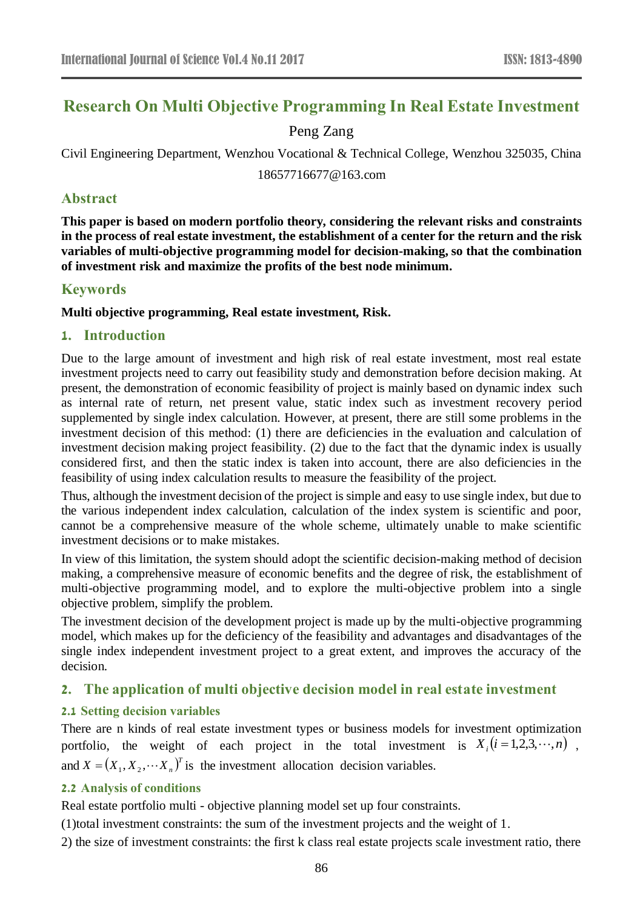# **Research On Multi Objective Programming In Real Estate Investment**

# Peng Zang

Civil Engineering Department, Wenzhou Vocational & Technical College, Wenzhou 325035, China

18657716677@163.com

# **Abstract**

**This paper is based on modern portfolio theory, considering the relevant risks and constraints in the process of real estate investment, the establishment of a center for the return and the risk variables of multi-objective programming model for decision-making, so that the combination of investment risk and maximize the profits of the best node minimum.**

# **Keywords**

**Multi objective programming, Real estate investment, Risk.**

### **1. Introduction**

Due to the large amount of investment and high risk of real estate investment, most real estate investment projects need to carry out feasibility study and demonstration before decision making. At present, the demonstration of economic feasibility of project is mainly based on dynamic index such as internal rate of return, net present value, static index such as investment recovery period supplemented by single index calculation. However, at present, there are still some problems in the investment decision of this method: (1) there are deficiencies in the evaluation and calculation of investment decision making project feasibility. (2) due to the fact that the dynamic index is usually considered first, and then the static index is taken into account, there are also deficiencies in the feasibility of using index calculation results to measure the feasibility of the project.

Thus, although the investment decision of the project is simple and easy to use single index, but due to the various independent index calculation, calculation of the index system is scientific and poor, cannot be a comprehensive measure of the whole scheme, ultimately unable to make scientific investment decisions or to make mistakes.

In view of this limitation, the system should adopt the scientific decision-making method of decision making, a comprehensive measure of economic benefits and the degree of risk, the establishment of multi-objective programming model, and to explore the multi-objective problem into a single objective problem, simplify the problem.

The investment decision of the development project is made up by the multi-objective programming model, which makes up for the deficiency of the feasibility and advantages and disadvantages of the single index independent investment project to a great extent, and improves the accuracy of the decision.

## **2. The application of multi objective decision model in real estate investment**

## **2.1 Setting decision variables**

There are n kinds of real estate investment types or business models for investment optimization portfolio, the weight of each project in the total investment is  $X_i(i=1,2,3,\dots,n)$ , and  $X = (X_1, X_2, \cdots, X_n)^T$  is the investment allocation decision variables.

#### **2.2 Analysis of conditions**

Real estate portfolio multi - objective planning model set up four constraints.

(1)total investment constraints: the sum of the investment projects and the weight of 1.

2) the size of investment constraints: the first k class real estate projects scale investment ratio, there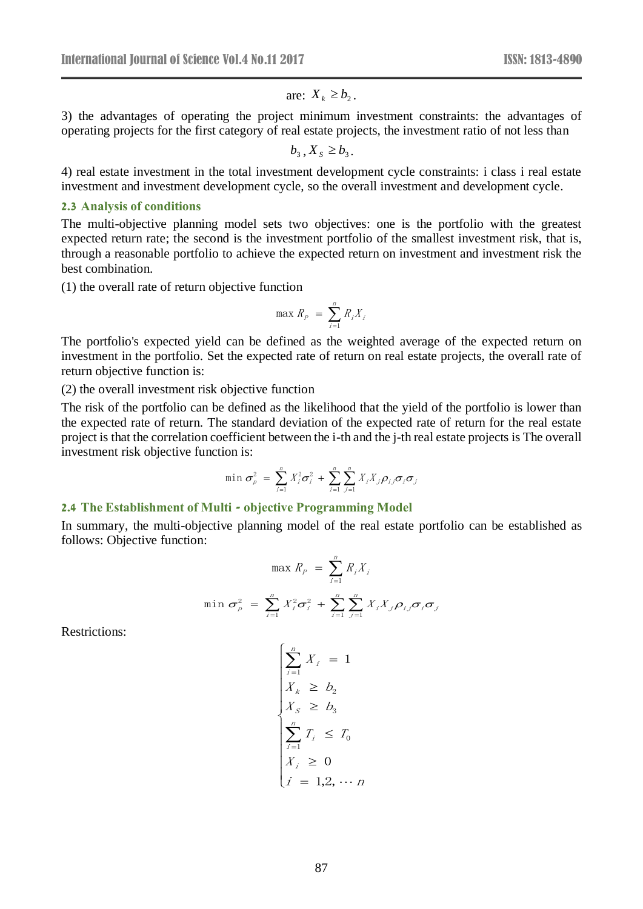# are:  $X_k \geq b_2$ .

3) the advantages of operating the project minimum investment constraints: the advantages of operating projects for the first category of real estate projects, the investment ratio of not less than

 $b_3$ ,  $X_s \geq b_3$ .

4) real estate investment in the total investment development cycle constraints: i class i real estate investment and investment development cycle, so the overall investment and development cycle.

#### **2.3 Analysis of conditions**

The multi-objective planning model sets two objectives: one is the portfolio with the greatest expected return rate; the second is the investment portfolio of the smallest investment risk, that is, through a reasonable portfolio to achieve the expected return on investment and investment risk the best combination.

(1) the overall rate of return objective function

$$
\max R_p = \sum_{i=1}^n R_i X_i
$$

The portfolio's expected yield can be defined as the weighted average of the expected return on investment in the portfolio. Set the expected rate of return on real estate projects, the overall rate of return objective function is:

(2) the overall investment risk objective function

The risk of the portfolio can be defined as the likelihood that the yield of the portfolio is lower than the expected rate of return. The standard deviation of the expected rate of return for the real estate project is that the correlation coefficient between the i-th and the j-th real estate projects is The overall investment risk objective function is:

$$
\min \sigma_p^2 = \sum_{i=1}^n X_i^2 \sigma_i^2 + \sum_{i=1}^n \sum_{j=1}^n X_i X_j \rho_{ij} \sigma_i \sigma_j
$$

#### **2.4 The Establishment of Multi - objective Programming Model**

In summary, the multi-objective planning model of the real estate portfolio can be established as follows: Objective function:

$$
\max R_p = \sum_{i=1}^n R_i X_i
$$
  

$$
\min \sigma_p^2 = \sum_{i=1}^n X_i^2 \sigma_i^2 + \sum_{i=1}^n \sum_{j=1}^n X_i X_j \rho_{ij} \sigma_j \sigma_j
$$

Restrictions:

$$
\begin{cases}\n\sum_{i=1}^{n} X_i = 1 \\
X_k \geq b_2 \\
X_S \geq b_3 \\
\sum_{i=1}^{n} T_i \leq T_0 \\
X_i \geq 0 \\
i = 1, 2, \dots n\n\end{cases}
$$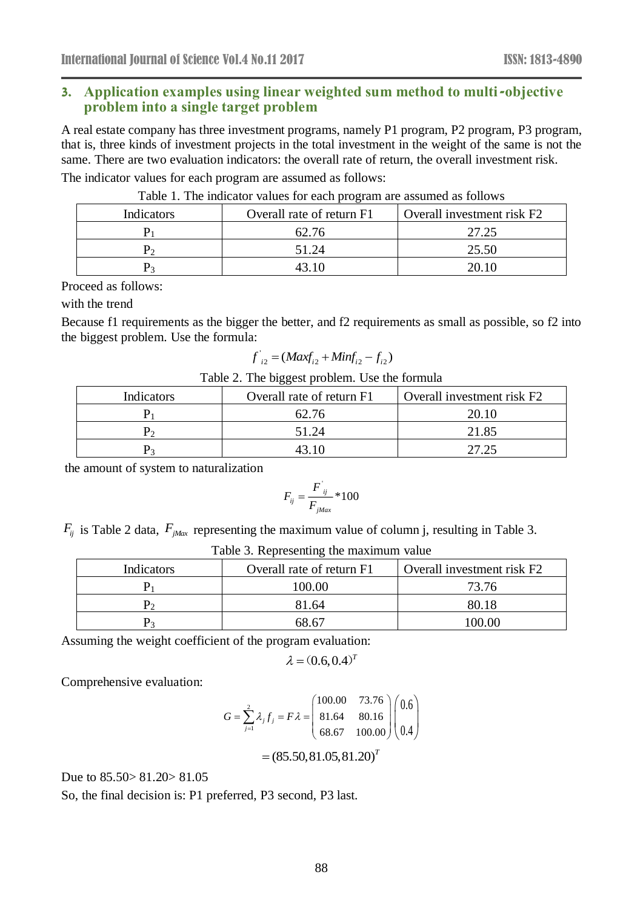## **3. Application examples using linear weighted sum method to multi-objective problem into a single target problem**

A real estate company has three investment programs, namely P1 program, P2 program, P3 program, that is, three kinds of investment projects in the total investment in the weight of the same is not the same. There are two evaluation indicators: the overall rate of return, the overall investment risk. The indicator values for each program are assumed as follows:

| Indicators | Overall rate of return F1 | Overall investment risk F2 |
|------------|---------------------------|----------------------------|
|            | 62.76                     | 27.25                      |
|            | 51.24                     | 25.50                      |
|            | 43 10                     | 20.10                      |

Table 1. The indicator values for each program are assumed as follows

Proceed as follows:

with the trend

Because f1 requirements as the bigger the better, and f2 requirements as small as possible, so f2 into the biggest problem. Use the formula:

$$
f'_{i2} = (Maxf_{i2} + Minf_{i2} - f_{i2})
$$

|  |  |  | Table 2. The biggest problem. Use the formula |  |  |  |
|--|--|--|-----------------------------------------------|--|--|--|
|--|--|--|-----------------------------------------------|--|--|--|

| Indicators | Overall rate of return F1 | Overall investment risk F2 |
|------------|---------------------------|----------------------------|
|            | 62.76                     | 20.10                      |
|            | 51.24                     | 21.85                      |
|            |                           | 27.25                      |

the amount of system to naturalization

$$
F_{ij} = \frac{F^{'}}{F^{'}}_{jMax} * 100
$$

 $F_{ij}$  is Table 2 data,  $F_{jMax}$  representing the maximum value of column j, resulting in Table 3.

| Indicators | Overall rate of return F1 | Overall investment risk F2 |
|------------|---------------------------|----------------------------|
|            | 100.00-                   | 73.76                      |
|            | 81.64                     | 80.18                      |
|            | 68 67                     | 100.00                     |

Table 3. Representing the maximum value

Assuming the weight coefficient of the program evaluation:

$$
\lambda = (0.6, 0.4)^T
$$

Comprehensive evaluation:

$$
G = \sum_{j=1}^{2} \lambda_j f_j = F\lambda = \begin{pmatrix} 100.00 & 73.76 \\ 81.64 & 80.16 \\ 68.67 & 100.00 \end{pmatrix} \begin{pmatrix} 0.6 \\ 0.4 \end{pmatrix}
$$

 $=(85.50,81.05,81.20)^{T}$ 

Due to 85.50> 81.20> 81.05

So, the final decision is: P1 preferred, P3 second, P3 last.